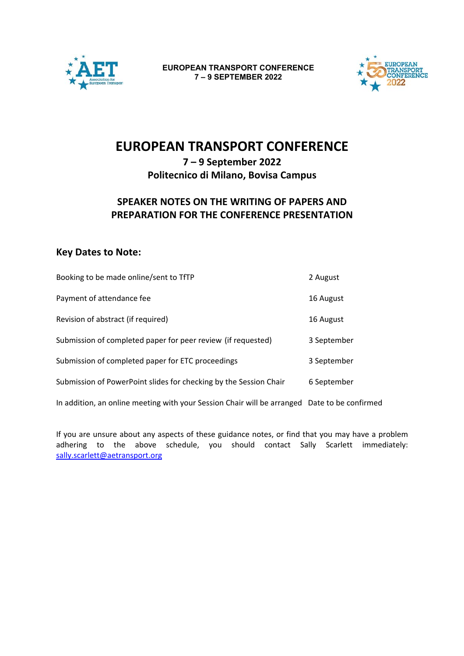



# **EUROPEAN TRANSPORT CONFERENCE**

## **7 – 9 September 2022 Politecnico di Milano, Bovisa Campus**

## **SPEAKER NOTES ON THE WRITING OF PAPERS AND PREPARATION FOR THE CONFERENCE PRESENTATION**

## **Key Dates to Note:**

| Booking to be made online/sent to TfTP                            | 2 August    |
|-------------------------------------------------------------------|-------------|
| Payment of attendance fee                                         | 16 August   |
| Revision of abstract (if required)                                | 16 August   |
| Submission of completed paper for peer review (if requested)      | 3 September |
| Submission of completed paper for ETC proceedings                 | 3 September |
| Submission of PowerPoint slides for checking by the Session Chair | 6 September |
|                                                                   |             |

In addition, an online meeting with your Session Chair will be arranged Date to be confirmed

If you are unsure about any aspects of these guidance notes, or find that you may have a problem adhering to the above schedule, you should contact Sally Scarlett immediately: sally.scarlett@aetransport.org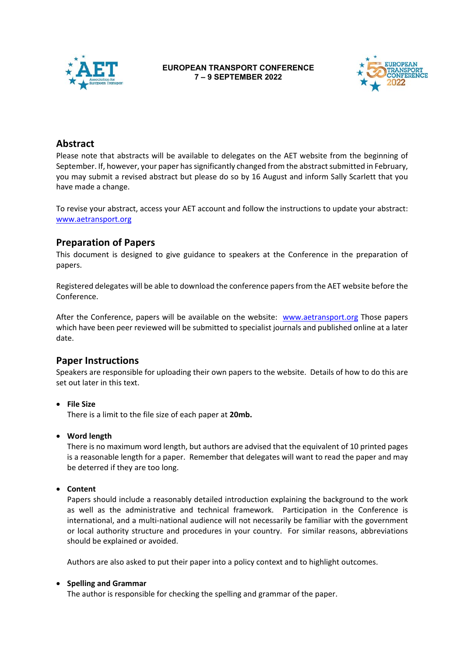



## **Abstract**

Please note that abstracts will be available to delegates on the AET website from the beginning of September. If, however, your paper has significantly changed from the abstract submitted in February, you may submit a revised abstract but please do so by 16 August and inform Sally Scarlett that you have made a change.

To revise your abstract, access your AET account and follow the instructions to update your abstract: www.aetransport.org

## **Preparation of Papers**

This document is designed to give guidance to speakers at the Conference in the preparation of papers.

Registered delegates will be able to download the conference papers from the AET website before the Conference.

After the Conference, papers will be available on the website: www.aetransport.org Those papers which have been peer reviewed will be submitted to specialist journals and published online at a later date.

### **Paper Instructions**

Speakers are responsible for uploading their own papers to the website. Details of how to do this are set out later in this text.

**File Size** 

There is a limit to the file size of each paper at **20mb.** 

**Word length** 

There is no maximum word length, but authors are advised that the equivalent of 10 printed pages is a reasonable length for a paper. Remember that delegates will want to read the paper and may be deterred if they are too long.

**Content**

Papers should include a reasonably detailed introduction explaining the background to the work as well as the administrative and technical framework. Participation in the Conference is international, and a multi‐national audience will not necessarily be familiar with the government or local authority structure and procedures in your country. For similar reasons, abbreviations should be explained or avoided.

Authors are also asked to put their paper into a policy context and to highlight outcomes.

#### **Spelling and Grammar**

The author is responsible for checking the spelling and grammar of the paper.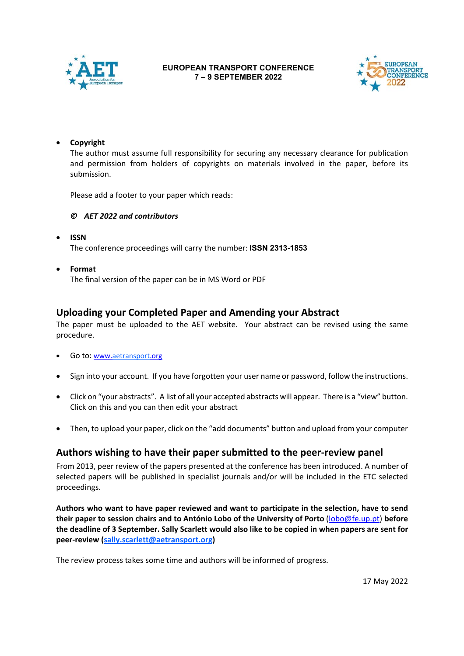



#### **Copyright**

The author must assume full responsibility for securing any necessary clearance for publication and permission from holders of copyrights on materials involved in the paper, before its submission.

Please add a footer to your paper which reads:

#### *© AET 2022 and contributors*

- **ISSN**  The conference proceedings will carry the number: **ISSN 2313-1853**
- **Format**

The final version of the paper can be in MS Word or PDF

### **Uploading your Completed Paper and Amending your Abstract**

The paper must be uploaded to the AET website. Your abstract can be revised using the same procedure.

- Go to: www.aetransport.org
- Sign into your account. If you have forgotten your user name or password, follow the instructions.
- Click on "your abstracts". A list of all your accepted abstracts will appear. There is a "view" button. Click on this and you can then edit your abstract
- Then, to upload your paper, click on the "add documents" button and upload from your computer

### **Authors wishing to have their paper submitted to the peer‐review panel**

From 2013, peer review of the papers presented at the conference has been introduced. A number of selected papers will be published in specialist journals and/or will be included in the ETC selected proceedings.

**Authors who want to have paper reviewed and want to participate in the selection, have to send their paper to session chairs and to António Lobo of the University of Porto** (lobo@fe.up.pt) **before the deadline of 3 September. Sally Scarlett would also like to be copied in when papers are sent for peer‐review (sally.scarlett@aetransport.org)** 

The review process takes some time and authors will be informed of progress.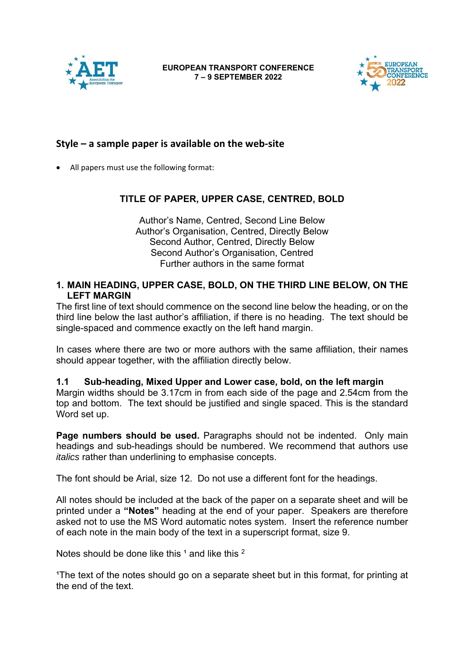



## **Style – a sample paper is available on the web‐site**

All papers must use the following format:

## **TITLE OF PAPER, UPPER CASE, CENTRED, BOLD**

Author's Name, Centred, Second Line Below Author's Organisation, Centred, Directly Below Second Author, Centred, Directly Below Second Author's Organisation, Centred Further authors in the same format

## **1. MAIN HEADING, UPPER CASE, BOLD, ON THE THIRD LINE BELOW, ON THE LEFT MARGIN**

The first line of text should commence on the second line below the heading, or on the third line below the last author's affiliation, if there is no heading. The text should be single-spaced and commence exactly on the left hand margin.

In cases where there are two or more authors with the same affiliation, their names should appear together, with the affiliation directly below.

### **1.1 Sub-heading, Mixed Upper and Lower case, bold, on the left margin**

Margin widths should be 3.17cm in from each side of the page and 2.54cm from the top and bottom. The text should be justified and single spaced. This is the standard Word set up.

**Page numbers should be used.** Paragraphs should not be indented. Only main headings and sub-headings should be numbered. We recommend that authors use *italics* rather than underlining to emphasise concepts.

The font should be Arial, size 12. Do not use a different font for the headings.

All notes should be included at the back of the paper on a separate sheet and will be printed under a **"Notes"** heading at the end of your paper. Speakers are therefore asked not to use the MS Word automatic notes system. Insert the reference number of each note in the main body of the text in a superscript format, size 9.

Notes should be done like this  $1$  and like this  $2$ 

<sup>1</sup>The text of the notes should go on a separate sheet but in this format, for printing at the end of the text.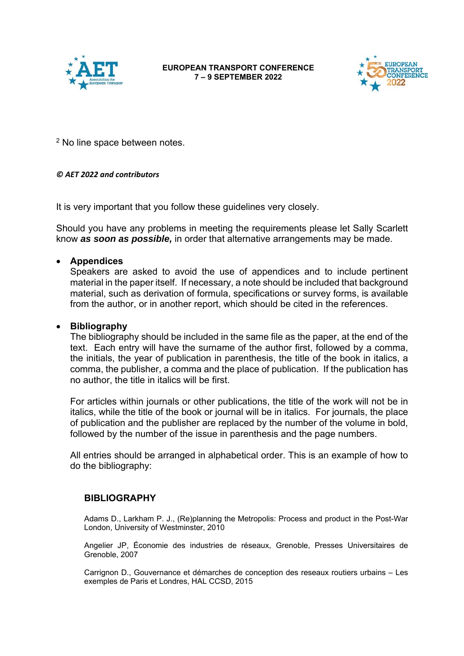



2 No line space between notes.

#### *© AET 2022 and contributors*

It is very important that you follow these guidelines very closely.

Should you have any problems in meeting the requirements please let Sally Scarlett know *as soon as possible,* in order that alternative arrangements may be made.

### **Appendices**

Speakers are asked to avoid the use of appendices and to include pertinent material in the paper itself. If necessary, a note should be included that background material, such as derivation of formula, specifications or survey forms, is available from the author, or in another report, which should be cited in the references.

### **Bibliography**

The bibliography should be included in the same file as the paper, at the end of the text. Each entry will have the surname of the author first, followed by a comma, the initials, the year of publication in parenthesis, the title of the book in italics, a comma, the publisher, a comma and the place of publication. If the publication has no author, the title in italics will be first.

For articles within journals or other publications, the title of the work will not be in italics, while the title of the book or journal will be in italics. For journals, the place of publication and the publisher are replaced by the number of the volume in bold, followed by the number of the issue in parenthesis and the page numbers.

All entries should be arranged in alphabetical order. This is an example of how to do the bibliography:

#### **BIBLIOGRAPHY**

Adams D., Larkham P. J., (Re)planning the Metropolis: Process and product in the Post-War London, University of Westminster, 2010

Angelier JP, Économie des industries de réseaux, Grenoble, Presses Universitaires de Grenoble, 2007

Carrignon D., Gouvernance et démarches de conception des reseaux routiers urbains – Les exemples de Paris et Londres, HAL CCSD, 2015